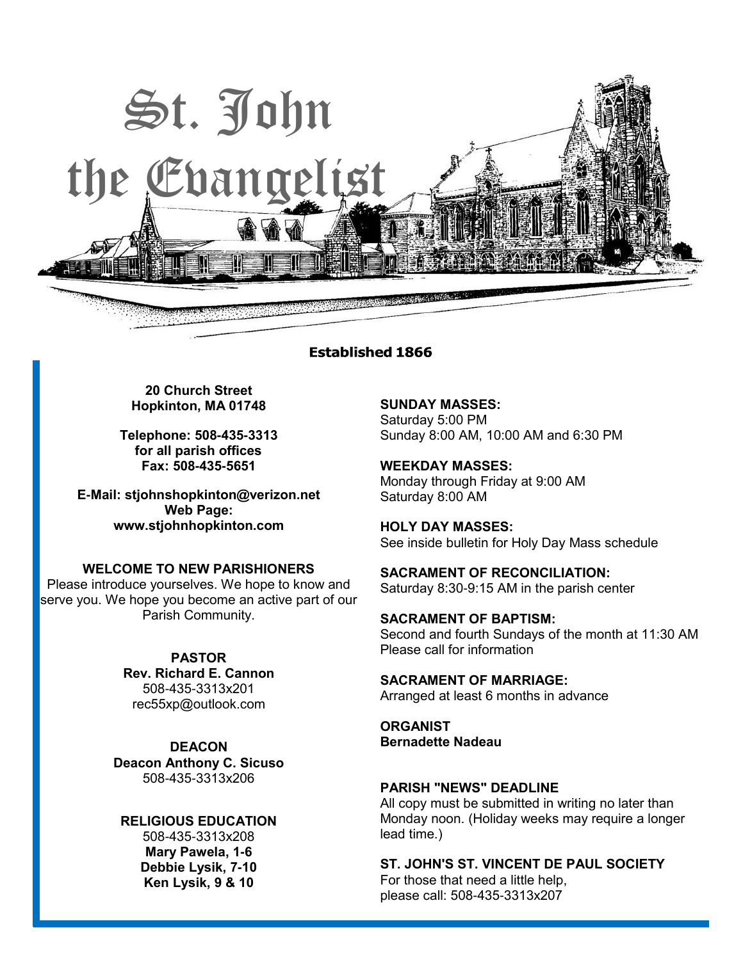

#### **Established 1866**

**20 Church Street Hopkinton, MA 01748**

**Telephone: 508-435-3313 for all parish offices Fax: 508-435-5651**

**E-Mail: [stjohnshopkinton@verizon.net](mailto:stjohnshopkinton@verizon.net) Web Page: [www.stjohnhopkinton.com](http://www.stjohnhopkinton.com/)**

#### **WELCOME TO NEW PARISHIONERS**

Please introduce yourselves. We hope to know and serve you. We hope you become an active part of our Parish Community.

> **PASTOR Rev. Richard E. Cannon** 508-435-3313x201 [rec55xp@outlook.com](mailto:rec55xp@outlook.com)

**DEACON Deacon Anthony C. Sicuso** 508-435-3313x206

#### **RELIGIOUS EDUCATION**

508-435-3313x208 **Mary Pawela, 1-6 Debbie Lysik, 7-10 Ken Lysik, 9 & 10**

**SUNDAY MASSES:** Saturday 5:00 PM Sunday 8:00 AM, 10:00 AM and 6:30 PM

**WEEKDAY MASSES:** Monday through Friday at 9:00 AM Saturday 8:00 AM

**HOLY DAY MASSES:** See inside bulletin for Holy Day Mass schedule

**SACRAMENT OF RECONCILIATION:** Saturday 8:30-9:15 AM in the parish center

**SACRAMENT OF BAPTISM:** Second and fourth Sundays of the month at 11:30 AM Please call for information

**SACRAMENT OF MARRIAGE:** Arranged at least 6 months in advance

**ORGANIST Bernadette Nadeau**

### **PARISH "NEWS" DEADLINE**

All copy must be submitted in writing no later than Monday noon. (Holiday weeks may require a longer lead time.)

**ST. JOHN'S ST. VINCENT DE PAUL SOCIETY**

For those that need a little help, please call: 508-435-3313x207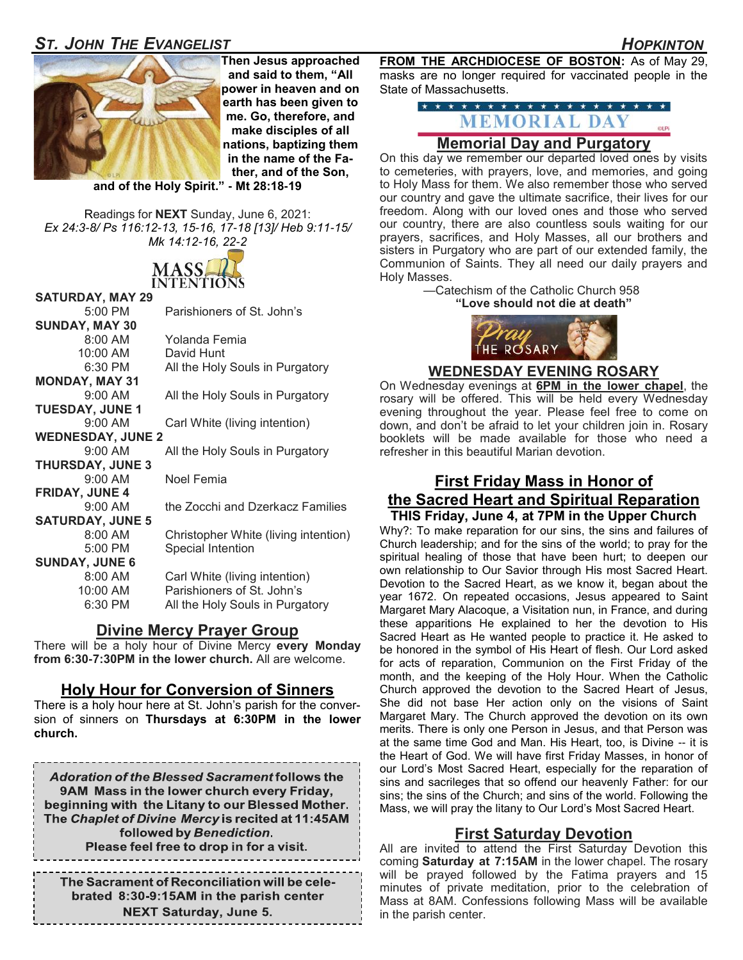# *ST. JOHN THE EVANGELIST HOPKINTON*





**Then Jesus approached and said to them, "All power in heaven and on earth has been given to me. Go, therefore, and make disciples of all nations, baptizing them in the name of the Father, and of the Son,** 

**and of the Holy Spirit." - Mt 28:18-19** 

Readings for **NEXT** Sunday, June 6, 2021: *Ex 24:3-8/ Ps 116:12-13, 15-16, 17-18 [13]/ Heb 9:11-15/ Mk 14:12-16, 22-2* 



#### **SATURDAY, MAY 29**

| 5:00 PM                  | Parishioners of St. John's           |
|--------------------------|--------------------------------------|
| SUNDAY, MAY 30           |                                      |
| 8:00 AM                  | Yolanda Femia                        |
| 10:00 AM                 | David Hunt                           |
| 6:30 PM                  | All the Holy Souls in Purgatory      |
| <b>MONDAY, MAY 31</b>    |                                      |
| $9:00$ AM                | All the Holy Souls in Purgatory      |
| <b>TUESDAY, JUNE 1</b>   |                                      |
| $9:00$ AM                | Carl White (living intention)        |
| <b>WEDNESDAY, JUNE 2</b> |                                      |
| $9:00 \, \text{AM}$      | All the Holy Souls in Purgatory      |
| <b>THURSDAY, JUNE 3</b>  |                                      |
| $9:00 \, \text{AM}$      | Noel Femia                           |
| <b>FRIDAY, JUNE 4</b>    |                                      |
| $9:00$ AM                | the Zocchi and Dzerkacz Families     |
| <b>SATURDAY, JUNE 5</b>  |                                      |
| $8:00$ AM                | Christopher White (living intention) |
| $5:00$ PM                | Special Intention                    |
| <b>SUNDAY, JUNE 6</b>    |                                      |
| 8:00 AM                  | Carl White (living intention)        |
| 10:00 AM                 | Parishioners of St. John's           |
| 6:30 PM                  | All the Holy Souls in Purgatory      |
|                          |                                      |

## **Divine Mercy Prayer Group**

There will be a holy hour of Divine Mercy **every Monday from 6:30-7:30PM in the lower church.** All are welcome.

## **Holy Hour for Conversion of Sinners**

There is a holy hour here at St. John's parish for the conversion of sinners on **Thursdays at 6:30PM in the lower church.**

Adoration of the Blessed Sacrament follows the 9AM Mass in the lower church every Friday, beginning with the Litany to our Blessed Mother. The Chaplet of Divine Mercy is recited at 11:45AM followed by Benediction. Please feel free to drop in for a visit.

The Sacrament of Reconciliation will be celebrated 8:30-9:15AM in the parish center **NEXT Saturday, June 5.** 

**FROM THE ARCHDIOCESE OF BOSTON:** As of May 29, masks are no longer required for vaccinated people in the State of Massachusetts.

# **MEMORIAL DAY Memorial Day and Purgatory**

On this day we remember our departed loved ones by visits to cemeteries, with prayers, love, and memories, and going to Holy Mass for them. We also remember those who served our country and gave the ultimate sacrifice, their lives for our freedom. Along with our loved ones and those who served our country, there are also countless souls waiting for our prayers, sacrifices, and Holy Masses, all our brothers and sisters in Purgatory who are part of our extended family, the Communion of Saints. They all need our daily prayers and Holy Masses.

—Catechism of the Catholic Church 958 **"Love should not die at death"**



#### **WEDNESDAY EVENING ROSARY**

On Wednesday evenings at **6PM in the lower chapel**, the rosary will be offered. This will be held every Wednesday evening throughout the year. Please feel free to come on down, and don't be afraid to let your children join in. Rosary booklets will be made available for those who need a refresher in this beautiful Marian devotion.

#### **First Friday Mass in Honor of the Sacred Heart and Spiritual Reparation THIS Friday, June 4, at 7PM in the Upper Church**

Why?: To make reparation for our sins, the sins and failures of Church leadership; and for the sins of the world; to pray for the spiritual healing of those that have been hurt; to deepen our own relationship to Our Savior through His most Sacred Heart. Devotion to the Sacred Heart, as we know it, began about the year 1672. On repeated occasions, Jesus appeared to Saint Margaret Mary Alacoque, a Visitation nun, in France, and during these apparitions He explained to her the devotion to His Sacred Heart as He wanted people to practice it. He asked to be honored in the symbol of His Heart of flesh. Our Lord asked for acts of reparation, Communion on the First Friday of the month, and the keeping of the Holy Hour. When the Catholic Church approved the devotion to the Sacred Heart of Jesus, She did not base Her action only on the visions of Saint Margaret Mary. The Church approved the devotion on its own merits. There is only one Person in Jesus, and that Person was at the same time God and Man. His Heart, too, is Divine -- it is the Heart of God. We will have first Friday Masses, in honor of our Lord's Most Sacred Heart, especially for the reparation of sins and sacrileges that so offend our heavenly Father: for our sins; the sins of the Church; and sins of the world. Following the Mass, we will pray the litany to Our Lord's Most Sacred Heart.

### **First Saturday Devotion**

All are invited to attend the First Saturday Devotion this coming **Saturday at 7:15AM** in the lower chapel. The rosary will be prayed followed by the Fatima prayers and 15 minutes of private meditation, prior to the celebration of Mass at 8AM. Confessions following Mass will be available in the parish center.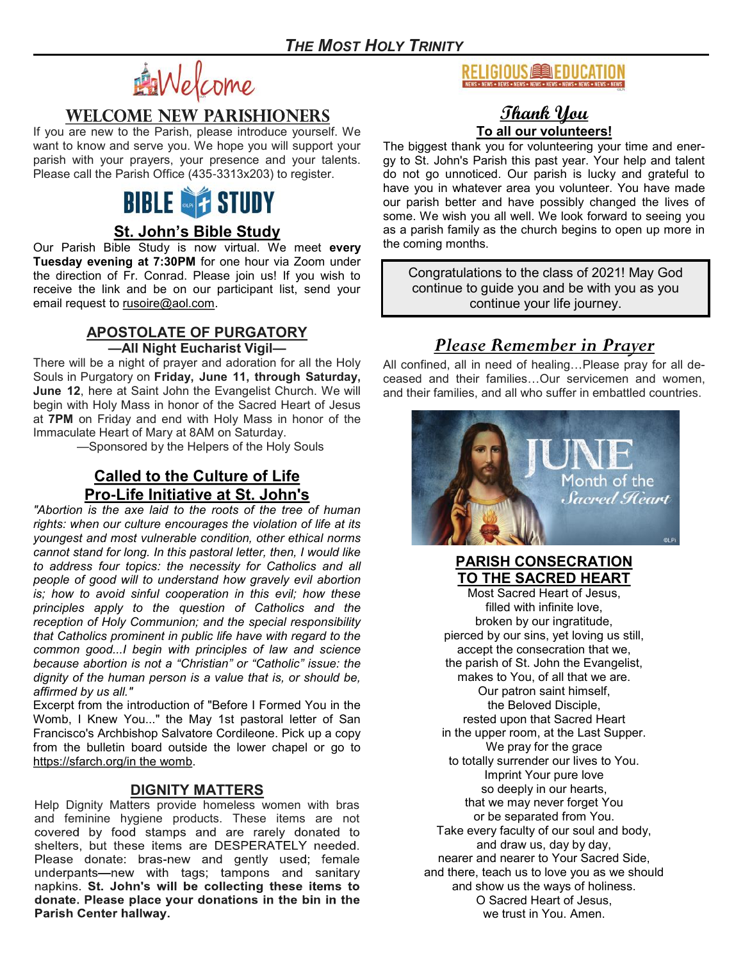ENecome

# **WELCOME NEW PARISHIONERS**

If you are new to the Parish, please introduce yourself. We want to know and serve you. We hope you will support your parish with your prayers, your presence and your talents. Please call the Parish Office (435-3313x203) to register.

# **BIBLE & STUDY**

# **St. John's Bible Study**

Our Parish Bible Study is now virtual. We meet **every Tuesday evening at 7:30PM** for one hour via Zoom under the direction of Fr. Conrad. Please join us! If you wish to receive the link and be on our participant list, send your email request to [rusoire@aol.com.](mailto:rusoire@aol.com)

# **APOSTOLATE OF PURGATORY**

**—All Night Eucharist Vigil—**

There will be a night of prayer and adoration for all the Holy Souls in Purgatory on **Friday, June 11, through Saturday, June 12**, here at Saint John the Evangelist Church. We will begin with Holy Mass in honor of the Sacred Heart of Jesus at **7PM** on Friday and end with Holy Mass in honor of the Immaculate Heart of Mary at 8AM on Saturday.

—Sponsored by the Helpers of the Holy Souls

# **Called to the Culture of Life Pro-Life Initiative at St. John's**

*"Abortion is the axe laid to the roots of the tree of human rights: when our culture encourages the violation of life at its youngest and most vulnerable condition, other ethical norms cannot stand for long. In this pastoral letter, then, I would like to address four topics: the necessity for Catholics and all people of good will to understand how gravely evil abortion is; how to avoid sinful cooperation in this evil; how these principles apply to the question of Catholics and the reception of Holy Communion; and the special responsibility that Catholics prominent in public life have with regard to the common good...I begin with principles of law and science because abortion is not a "Christian" or "Catholic" issue: the dignity of the human person is a value that is, or should be, affirmed by us all."*

Excerpt from the introduction of "Before I Formed You in the Womb, I Knew You..." the May 1st pastoral letter of San Francisco's Archbishop Salvatore Cordileone. Pick up a copy from the bulletin board outside the lower chapel or go to <https://sfarch.org/in>the womb.

# **DIGNITY MATTERS**

Help Dignity Matters provide homeless women with bras and feminine hygiene products. These items are not covered by food stamps and are rarely donated to shelters, but these items are DESPERATELY needed. Please donate: bras-new and gently used; female underpants-new with tags; tampons and sanitary napkins. St. John's will be collecting these items to donate. Please place your donations in the bin in the Parish Center hallway.

#### **RELIGIOUS SE EDUCATION** NEWS . NEWS . NEWS . NEWS . NEWS . NEWS . NEWS . NEWS . NEWS . NEWS . NEW

# **Thank You To all our volunteers!**

The biggest thank you for volunteering your time and energy to St. John's Parish this past year. Your help and talent do not go unnoticed. Our parish is lucky and grateful to have you in whatever area you volunteer. You have made our parish better and have possibly changed the lives of some. We wish you all well. We look forward to seeing you as a parish family as the church begins to open up more in the coming months.

Congratulations to the class of 2021! May God continue to guide you and be with you as you continue your life journey.

# *Please Remember in Prayer*

All confined, all in need of healing…Please pray for all deceased and their families…Our servicemen and women, and their families, and all who suffer in embattled countries.



# **PARISH CONSECRATION TO THE SACRED HEART**

Most Sacred Heart of Jesus, filled with infinite love, broken by our ingratitude, pierced by our sins, yet loving us still, accept the consecration that we, the parish of St. John the Evangelist, makes to You, of all that we are. Our patron saint himself, the Beloved Disciple, rested upon that Sacred Heart in the upper room, at the Last Supper. We pray for the grace to totally surrender our lives to You. Imprint Your pure love so deeply in our hearts, that we may never forget You or be separated from You. Take every faculty of our soul and body, and draw us, day by day, nearer and nearer to Your Sacred Side, and there, teach us to love you as we should and show us the ways of holiness. O Sacred Heart of Jesus, we trust in You. Amen.